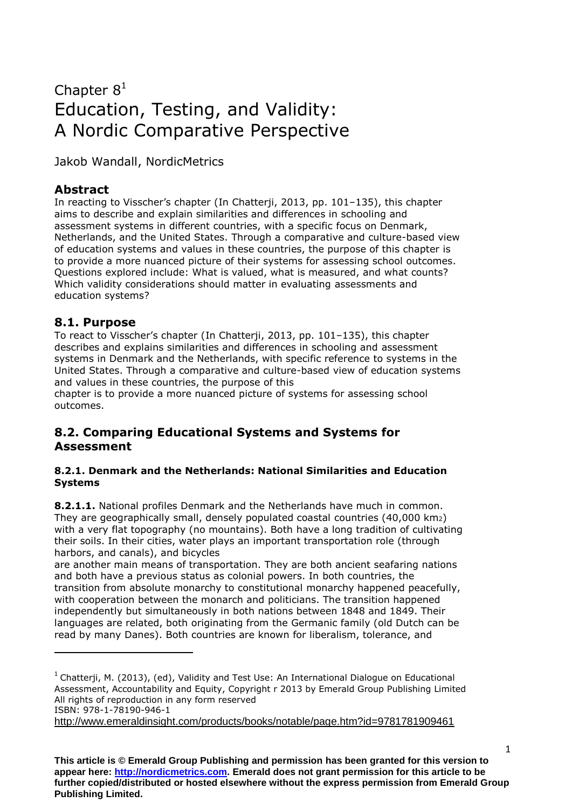# Chapter  $8<sup>1</sup>$ Education, Testing, and Validity: A Nordic Comparative Perspective

Jakob Wandall, NordicMetrics

# **Abstract**

In reacting to Visscher's chapter (In Chatterji, 2013, pp. 101–135), this chapter aims to describe and explain similarities and differences in schooling and assessment systems in different countries, with a specific focus on Denmark, Netherlands, and the United States. Through a comparative and culture-based view of education systems and values in these countries, the purpose of this chapter is to provide a more nuanced picture of their systems for assessing school outcomes. Questions explored include: What is valued, what is measured, and what counts? Which validity considerations should matter in evaluating assessments and education systems?

# **8.1. Purpose**

**.** 

To react to Visscher's chapter (In Chatterji, 2013, pp. 101–135), this chapter describes and explains similarities and differences in schooling and assessment systems in Denmark and the Netherlands, with specific reference to systems in the United States. Through a comparative and culture-based view of education systems and values in these countries, the purpose of this

chapter is to provide a more nuanced picture of systems for assessing school outcomes.

# **8.2. Comparing Educational Systems and Systems for Assessment**

#### **8.2.1. Denmark and the Netherlands: National Similarities and Education Systems**

**8.2.1.1.** National profiles Denmark and the Netherlands have much in common. They are geographically small, densely populated coastal countries (40,000 km2) with a very flat topography (no mountains). Both have a long tradition of cultivating their soils. In their cities, water plays an important transportation role (through harbors, and canals), and bicycles

are another main means of transportation. They are both ancient seafaring nations and both have a previous status as colonial powers. In both countries, the transition from absolute monarchy to constitutional monarchy happened peacefully, with cooperation between the monarch and politicians. The transition happened independently but simultaneously in both nations between 1848 and 1849. Their languages are related, both originating from the Germanic family (old Dutch can be read by many Danes). Both countries are known for liberalism, tolerance, and

<http://www.emeraldinsight.com/products/books/notable/page.htm?id=9781781909461>

 $1$  Chatterji, M. (2013), (ed), Validity and Test Use: An International Dialogue on Educational Assessment, Accountability and Equity, Copyright r 2013 by Emerald Group Publishing Limited All rights of reproduction in any form reserved ISBN: 978-1-78190-946-1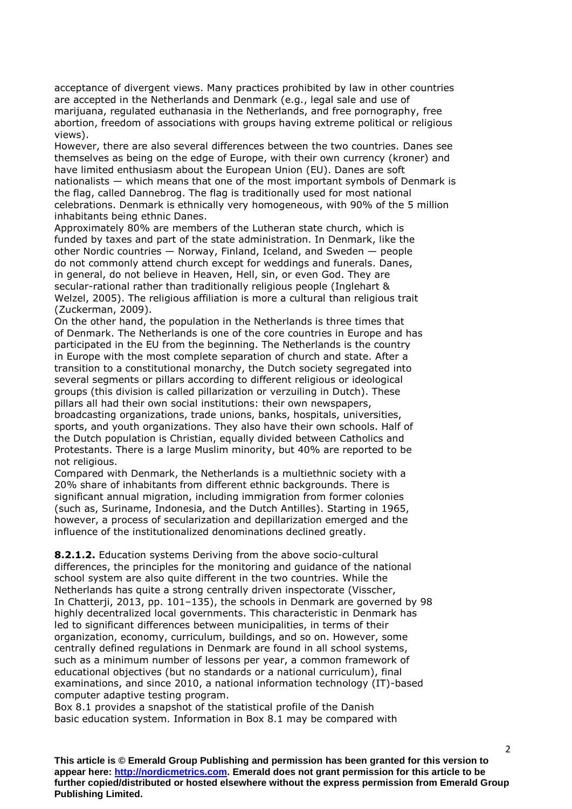acceptance of divergent views. Many practices prohibited by law in other countries are accepted in the Netherlands and Denmark (e.g., legal sale and use of marijuana, regulated euthanasia in the Netherlands, and free pornography, free abortion, freedom of associations with groups having extreme political or religious views).

However, there are also several differences between the two countries. Danes see themselves as being on the edge of Europe, with their own currency (kroner) and have limited enthusiasm about the European Union (EU). Danes are soft nationalists — which means that one of the most important symbols of Denmark is the flag, called Dannebrog. The flag is traditionally used for most national celebrations. Denmark is ethnically very homogeneous, with 90% of the 5 million inhabitants being ethnic Danes.

Approximately 80% are members of the Lutheran state church, which is funded by taxes and part of the state administration. In Denmark, like the other Nordic countries — Norway, Finland, Iceland, and Sweden — people do not commonly attend church except for weddings and funerals. Danes, in general, do not believe in Heaven, Hell, sin, or even God. They are secular-rational rather than traditionally religious people (Inglehart & Welzel, 2005). The religious affiliation is more a cultural than religious trait (Zuckerman, 2009).

On the other hand, the population in the Netherlands is three times that of Denmark. The Netherlands is one of the core countries in Europe and has participated in the EU from the beginning. The Netherlands is the country in Europe with the most complete separation of church and state. After a transition to a constitutional monarchy, the Dutch society segregated into several segments or pillars according to different religious or ideological groups (this division is called pillarization or verzuiling in Dutch). These pillars all had their own social institutions: their own newspapers, broadcasting organizations, trade unions, banks, hospitals, universities, sports, and youth organizations. They also have their own schools. Half of the Dutch population is Christian, equally divided between Catholics and Protestants. There is a large Muslim minority, but 40% are reported to be not religious.

Compared with Denmark, the Netherlands is a multiethnic society with a 20% share of inhabitants from different ethnic backgrounds. There is significant annual migration, including immigration from former colonies (such as, Suriname, Indonesia, and the Dutch Antilles). Starting in 1965, however, a process of secularization and depillarization emerged and the influence of the institutionalized denominations declined greatly.

**8.2.1.2.** Education systems Deriving from the above socio-cultural differences, the principles for the monitoring and guidance of the national school system are also quite different in the two countries. While the Netherlands has quite a strong centrally driven inspectorate (Visscher, In Chatterji, 2013, pp. 101–135), the schools in Denmark are governed by 98 highly decentralized local governments. This characteristic in Denmark has led to significant differences between municipalities, in terms of their organization, economy, curriculum, buildings, and so on. However, some centrally defined regulations in Denmark are found in all school systems, such as a minimum number of lessons per year, a common framework of educational objectives (but no standards or a national curriculum), final examinations, and since 2010, a national information technology (IT)-based computer adaptive testing program.

Box 8.1 provides a snapshot of the statistical profile of the Danish basic education system. Information in Box 8.1 may be compared with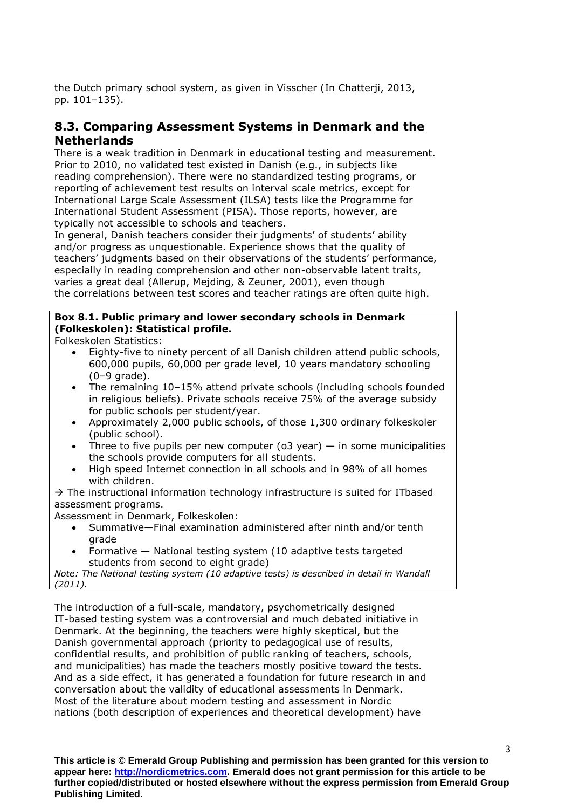the Dutch primary school system, as given in Visscher (In Chatterji, 2013, pp. 101–135).

# **8.3. Comparing Assessment Systems in Denmark and the Netherlands**

There is a weak tradition in Denmark in educational testing and measurement. Prior to 2010, no validated test existed in Danish (e.g., in subjects like reading comprehension). There were no standardized testing programs, or reporting of achievement test results on interval scale metrics, except for International Large Scale Assessment (ILSA) tests like the Programme for International Student Assessment (PISA). Those reports, however, are typically not accessible to schools and teachers.

In general, Danish teachers consider their judgments' of students' ability and/or progress as unquestionable. Experience shows that the quality of teachers' judgments based on their observations of the students' performance, especially in reading comprehension and other non-observable latent traits, varies a great deal (Allerup, Mejding, & Zeuner, 2001), even though the correlations between test scores and teacher ratings are often quite high.

## **Box 8.1. Public primary and lower secondary schools in Denmark (Folkeskolen): Statistical profile.**

Folkeskolen Statistics:

- Eighty-five to ninety percent of all Danish children attend public schools, 600,000 pupils, 60,000 per grade level, 10 years mandatory schooling  $(0-9 \text{ grade}).$
- The remaining 10–15% attend private schools (including schools founded in religious beliefs). Private schools receive 75% of the average subsidy for public schools per student/year.
- Approximately 2,000 public schools, of those 1,300 ordinary folkeskoler (public school).
- Three to five pupils per new computer (o3 year)  $-$  in some municipalities the schools provide computers for all students.
- High speed Internet connection in all schools and in 98% of all homes with children

 $\rightarrow$  The instructional information technology infrastructure is suited for ITbased assessment programs.

Assessment in Denmark, Folkeskolen:

- Summative—Final examination administered after ninth and/or tenth grade
- Formative National testing system (10 adaptive tests targeted students from second to eight grade)

*Note: The National testing system (10 adaptive tests) is described in detail in Wandall (2011).*

The introduction of a full-scale, mandatory, psychometrically designed IT-based testing system was a controversial and much debated initiative in Denmark. At the beginning, the teachers were highly skeptical, but the Danish governmental approach (priority to pedagogical use of results, confidential results, and prohibition of public ranking of teachers, schools, and municipalities) has made the teachers mostly positive toward the tests. And as a side effect, it has generated a foundation for future research in and conversation about the validity of educational assessments in Denmark. Most of the literature about modern testing and assessment in Nordic nations (both description of experiences and theoretical development) have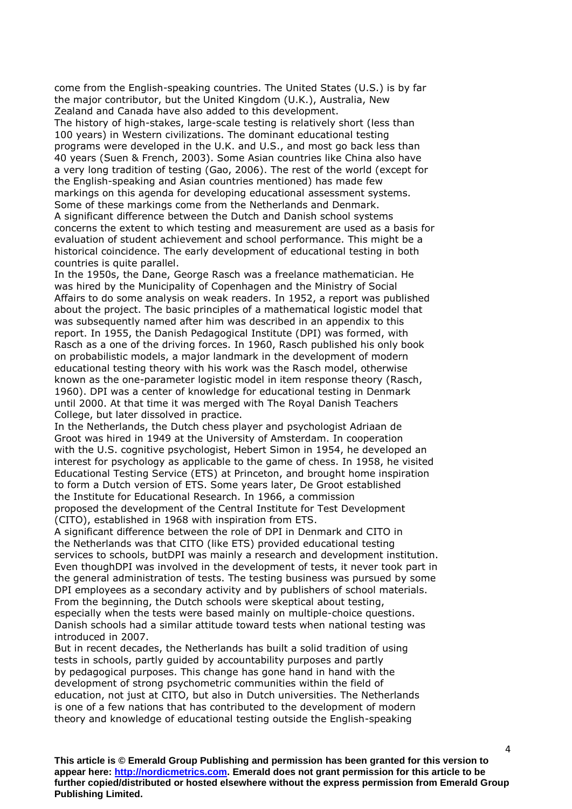come from the English-speaking countries. The United States (U.S.) is by far the major contributor, but the United Kingdom (U.K.), Australia, New Zealand and Canada have also added to this development.

The history of high-stakes, large-scale testing is relatively short (less than 100 years) in Western civilizations. The dominant educational testing programs were developed in the U.K. and U.S., and most go back less than 40 years (Suen & French, 2003). Some Asian countries like China also have a very long tradition of testing (Gao, 2006). The rest of the world (except for the English-speaking and Asian countries mentioned) has made few markings on this agenda for developing educational assessment systems. Some of these markings come from the Netherlands and Denmark. A significant difference between the Dutch and Danish school systems concerns the extent to which testing and measurement are used as a basis for evaluation of student achievement and school performance. This might be a historical coincidence. The early development of educational testing in both countries is quite parallel.

In the 1950s, the Dane, George Rasch was a freelance mathematician. He was hired by the Municipality of Copenhagen and the Ministry of Social Affairs to do some analysis on weak readers. In 1952, a report was published about the project. The basic principles of a mathematical logistic model that was subsequently named after him was described in an appendix to this report. In 1955, the Danish Pedagogical Institute (DPI) was formed, with Rasch as a one of the driving forces. In 1960, Rasch published his only book on probabilistic models, a major landmark in the development of modern educational testing theory with his work was the Rasch model, otherwise known as the one-parameter logistic model in item response theory (Rasch, 1960). DPI was a center of knowledge for educational testing in Denmark until 2000. At that time it was merged with The Royal Danish Teachers College, but later dissolved in practice.

In the Netherlands, the Dutch chess player and psychologist Adriaan de Groot was hired in 1949 at the University of Amsterdam. In cooperation with the U.S. cognitive psychologist, Hebert Simon in 1954, he developed an interest for psychology as applicable to the game of chess. In 1958, he visited Educational Testing Service (ETS) at Princeton, and brought home inspiration to form a Dutch version of ETS. Some years later, De Groot established the Institute for Educational Research. In 1966, a commission proposed the development of the Central Institute for Test Development (CITO), established in 1968 with inspiration from ETS.

A significant difference between the role of DPI in Denmark and CITO in the Netherlands was that CITO (like ETS) provided educational testing services to schools, butDPI was mainly a research and development institution. Even thoughDPI was involved in the development of tests, it never took part in the general administration of tests. The testing business was pursued by some DPI employees as a secondary activity and by publishers of school materials. From the beginning, the Dutch schools were skeptical about testing, especially when the tests were based mainly on multiple-choice questions. Danish schools had a similar attitude toward tests when national testing was introduced in 2007.

But in recent decades, the Netherlands has built a solid tradition of using tests in schools, partly guided by accountability purposes and partly by pedagogical purposes. This change has gone hand in hand with the development of strong psychometric communities within the field of education, not just at CITO, but also in Dutch universities. The Netherlands is one of a few nations that has contributed to the development of modern theory and knowledge of educational testing outside the English-speaking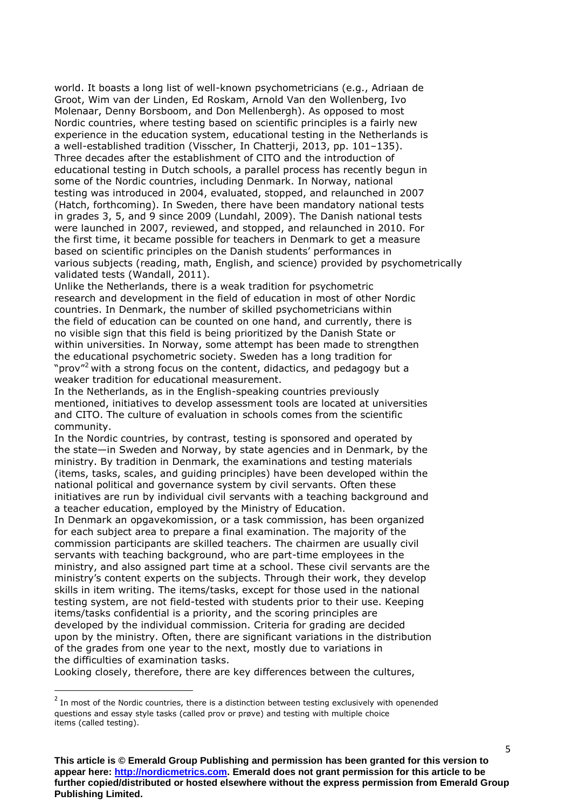world. It boasts a long list of well-known psychometricians (e.g., Adriaan de Groot, Wim van der Linden, Ed Roskam, Arnold Van den Wollenberg, Ivo Molenaar, Denny Borsboom, and Don Mellenbergh). As opposed to most Nordic countries, where testing based on scientific principles is a fairly new experience in the education system, educational testing in the Netherlands is a well-established tradition (Visscher, In Chatterji, 2013, pp. 101–135). Three decades after the establishment of CITO and the introduction of educational testing in Dutch schools, a parallel process has recently begun in some of the Nordic countries, including Denmark. In Norway, national testing was introduced in 2004, evaluated, stopped, and relaunched in 2007 (Hatch, forthcoming). In Sweden, there have been mandatory national tests in grades 3, 5, and 9 since 2009 (Lundahl, 2009). The Danish national tests were launched in 2007, reviewed, and stopped, and relaunched in 2010. For the first time, it became possible for teachers in Denmark to get a measure based on scientific principles on the Danish students' performances in various subjects (reading, math, English, and science) provided by psychometrically validated tests (Wandall, 2011).

Unlike the Netherlands, there is a weak tradition for psychometric research and development in the field of education in most of other Nordic countries. In Denmark, the number of skilled psychometricians within the field of education can be counted on one hand, and currently, there is no visible sign that this field is being prioritized by the Danish State or within universities. In Norway, some attempt has been made to strengthen the educational psychometric society. Sweden has a long tradition for "prov"<sup>2</sup> with a strong focus on the content, didactics, and pedagogy but a weaker tradition for educational measurement.

In the Netherlands, as in the English-speaking countries previously mentioned, initiatives to develop assessment tools are located at universities and CITO. The culture of evaluation in schools comes from the scientific community.

In the Nordic countries, by contrast, testing is sponsored and operated by the state—in Sweden and Norway, by state agencies and in Denmark, by the ministry. By tradition in Denmark, the examinations and testing materials (items, tasks, scales, and guiding principles) have been developed within the national political and governance system by civil servants. Often these initiatives are run by individual civil servants with a teaching background and a teacher education, employed by the Ministry of Education.

In Denmark an opgavekomission, or a task commission, has been organized for each subject area to prepare a final examination. The majority of the commission participants are skilled teachers. The chairmen are usually civil servants with teaching background, who are part-time employees in the ministry, and also assigned part time at a school. These civil servants are the ministry's content experts on the subjects. Through their work, they develop skills in item writing. The items/tasks, except for those used in the national testing system, are not field-tested with students prior to their use. Keeping items/tasks confidential is a priority, and the scoring principles are developed by the individual commission. Criteria for grading are decided upon by the ministry. Often, there are significant variations in the distribution of the grades from one year to the next, mostly due to variations in the difficulties of examination tasks.

Looking closely, therefore, there are key differences between the cultures,

**.** 

 $2$  In most of the Nordic countries, there is a distinction between testing exclusively with openended questions and essay style tasks (called prov or prøve) and testing with multiple choice items (called testing).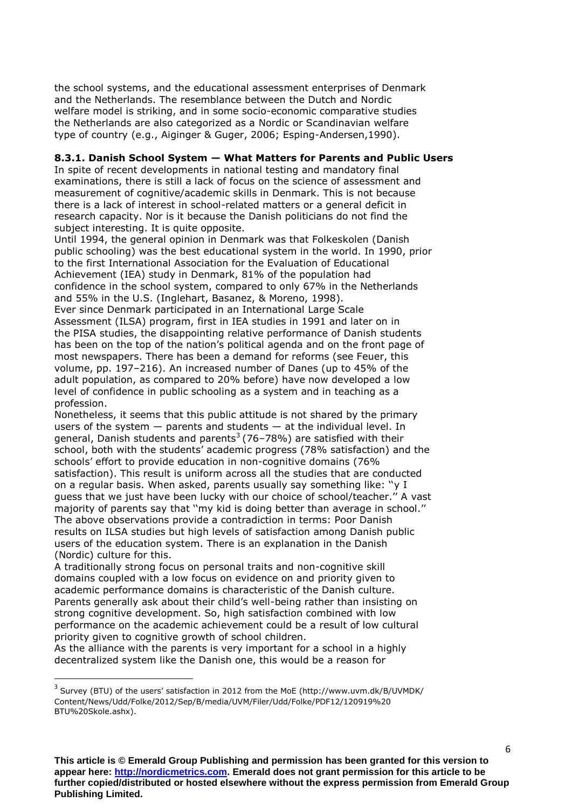the school systems, and the educational assessment enterprises of Denmark and the Netherlands. The resemblance between the Dutch and Nordic welfare model is striking, and in some socio-economic comparative studies the Netherlands are also categorized as a Nordic or Scandinavian welfare type of country (e.g., Aiginger & Guger, 2006; Esping-Andersen,1990).

#### **8.3.1. Danish School System — What Matters for Parents and Public Users**

In spite of recent developments in national testing and mandatory final examinations, there is still a lack of focus on the science of assessment and measurement of cognitive/academic skills in Denmark. This is not because there is a lack of interest in school-related matters or a general deficit in research capacity. Nor is it because the Danish politicians do not find the subject interesting. It is quite opposite.

Until 1994, the general opinion in Denmark was that Folkeskolen (Danish public schooling) was the best educational system in the world. In 1990, prior to the first International Association for the Evaluation of Educational Achievement (IEA) study in Denmark, 81% of the population had confidence in the school system, compared to only 67% in the Netherlands and 55% in the U.S. (Inglehart, Basanez, & Moreno, 1998). Ever since Denmark participated in an International Large Scale

Assessment (ILSA) program, first in IEA studies in 1991 and later on in the PISA studies, the disappointing relative performance of Danish students has been on the top of the nation's political agenda and on the front page of most newspapers. There has been a demand for reforms (see Feuer, this volume, pp. 197–216). An increased number of Danes (up to 45% of the adult population, as compared to 20% before) have now developed a low level of confidence in public schooling as a system and in teaching as a profession.

Nonetheless, it seems that this public attitude is not shared by the primary users of the system  $-$  parents and students  $-$  at the individual level. In general, Danish students and parents<sup>3</sup> (76–78%) are satisfied with their school, both with the students' academic progress (78% satisfaction) and the schools' effort to provide education in non-cognitive domains (76% satisfaction). This result is uniform across all the studies that are conducted on a regular basis. When asked, parents usually say something like: ''y I guess that we just have been lucky with our choice of school/teacher.'' A vast majority of parents say that ''my kid is doing better than average in school.'' The above observations provide a contradiction in terms: Poor Danish results on ILSA studies but high levels of satisfaction among Danish public users of the education system. There is an explanation in the Danish (Nordic) culture for this.

A traditionally strong focus on personal traits and non-cognitive skill domains coupled with a low focus on evidence on and priority given to academic performance domains is characteristic of the Danish culture. Parents generally ask about their child's well-being rather than insisting on strong cognitive development. So, high satisfaction combined with low performance on the academic achievement could be a result of low cultural priority given to cognitive growth of school children.

As the alliance with the parents is very important for a school in a highly decentralized system like the Danish one, this would be a reason for

 $\overline{a}$ 

 $3$  Survey (BTU) of the users' satisfaction in 2012 from the MoE (http://www.uvm.dk/B/UVMDK/ Content/News/Udd/Folke/2012/Sep/B/media/UVM/Filer/Udd/Folke/PDF12/120919%20 BTU%20Skole.ashx).

**This article is © Emerald Group Publishing and permission has been granted for this version to appear here: http://nordicmetrics.com. Emerald does not grant permission for this article to be further copied/distributed or hosted elsewhere without the express permission from Emerald Group Publishing Limited.**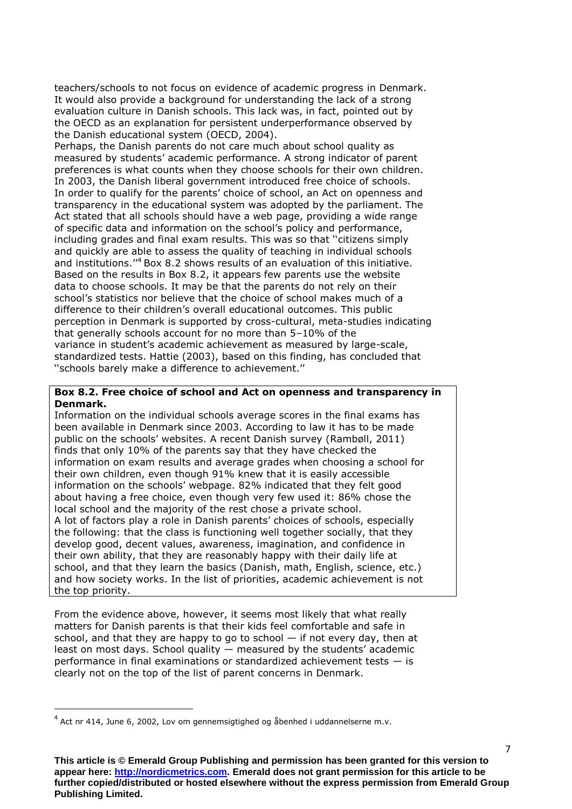teachers/schools to not focus on evidence of academic progress in Denmark. It would also provide a background for understanding the lack of a strong evaluation culture in Danish schools. This lack was, in fact, pointed out by the OECD as an explanation for persistent underperformance observed by the Danish educational system (OECD, 2004).

Perhaps, the Danish parents do not care much about school quality as measured by students' academic performance. A strong indicator of parent preferences is what counts when they choose schools for their own children. In 2003, the Danish liberal government introduced free choice of schools. In order to qualify for the parents' choice of school, an Act on openness and transparency in the educational system was adopted by the parliament. The Act stated that all schools should have a web page, providing a wide range of specific data and information on the school's policy and performance, including grades and final exam results. This was so that ''citizens simply and quickly are able to assess the quality of teaching in individual schools and institutions.''<sup>4</sup> Box 8.2 shows results of an evaluation of this initiative. Based on the results in Box 8.2, it appears few parents use the website data to choose schools. It may be that the parents do not rely on their school's statistics nor believe that the choice of school makes much of a difference to their children's overall educational outcomes. This public perception in Denmark is supported by cross-cultural, meta-studies indicating that generally schools account for no more than 5–10% of the variance in student's academic achievement as measured by large-scale, standardized tests. Hattie (2003), based on this finding, has concluded that ''schools barely make a difference to achievement.''

#### **Box 8.2. Free choice of school and Act on openness and transparency in Denmark.**

Information on the individual schools average scores in the final exams has been available in Denmark since 2003. According to law it has to be made public on the schools' websites. A recent Danish survey (Rambøll, 2011) finds that only 10% of the parents say that they have checked the information on exam results and average grades when choosing a school for their own children, even though 91% knew that it is easily accessible information on the schools' webpage. 82% indicated that they felt good about having a free choice, even though very few used it: 86% chose the local school and the majority of the rest chose a private school. A lot of factors play a role in Danish parents' choices of schools, especially the following: that the class is functioning well together socially, that they develop good, decent values, awareness, imagination, and confidence in their own ability, that they are reasonably happy with their daily life at school, and that they learn the basics (Danish, math, English, science, etc.) and how society works. In the list of priorities, academic achievement is not the top priority.

From the evidence above, however, it seems most likely that what really matters for Danish parents is that their kids feel comfortable and safe in school, and that they are happy to go to school  $-$  if not every day, then at least on most days. School quality — measured by the students' academic performance in final examinations or standardized achievement tests — is clearly not on the top of the list of parent concerns in Denmark.

**.** 

 $^{4}$  Act nr 414, June 6, 2002, Lov om gennemsigtighed og åbenhed i uddannelserne m.v.

**This article is © Emerald Group Publishing and permission has been granted for this version to appear here: http://nordicmetrics.com. Emerald does not grant permission for this article to be further copied/distributed or hosted elsewhere without the express permission from Emerald Group Publishing Limited.**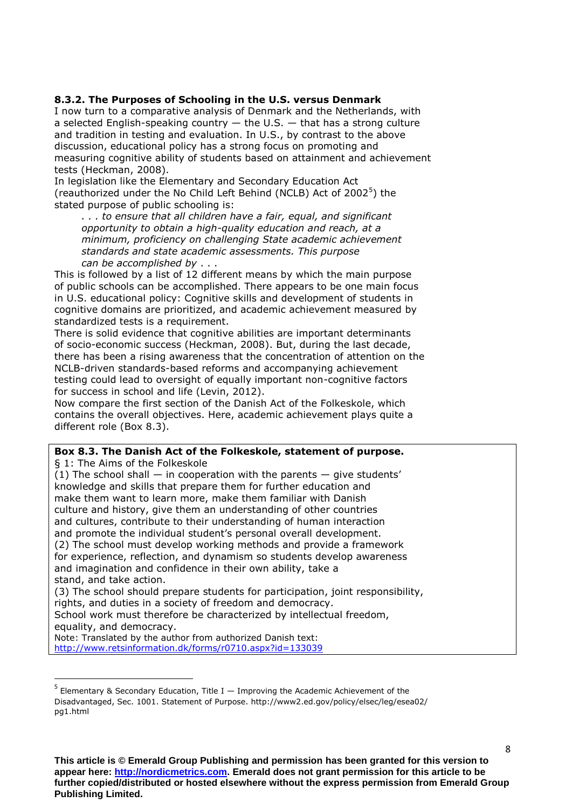#### **8.3.2. The Purposes of Schooling in the U.S. versus Denmark**

I now turn to a comparative analysis of Denmark and the Netherlands, with a selected English-speaking country  $-$  the U.S.  $-$  that has a strong culture and tradition in testing and evaluation. In U.S., by contrast to the above discussion, educational policy has a strong focus on promoting and measuring cognitive ability of students based on attainment and achievement tests (Heckman, 2008).

In legislation like the Elementary and Secondary Education Act (reauthorized under the No Child Left Behind (NCLB) Act of 2002 $5$ ) the stated purpose of public schooling is:

*. . . to ensure that all children have a fair, equal, and significant opportunity to obtain a high-quality education and reach, at a minimum, proficiency on challenging State academic achievement standards and state academic assessments. This purpose can be accomplished by* . . .

This is followed by a list of 12 different means by which the main purpose of public schools can be accomplished. There appears to be one main focus in U.S. educational policy: Cognitive skills and development of students in cognitive domains are prioritized, and academic achievement measured by standardized tests is a requirement.

There is solid evidence that cognitive abilities are important determinants of socio-economic success (Heckman, 2008). But, during the last decade, there has been a rising awareness that the concentration of attention on the NCLB-driven standards-based reforms and accompanying achievement testing could lead to oversight of equally important non-cognitive factors for success in school and life (Levin, 2012).

Now compare the first section of the Danish Act of the Folkeskole, which contains the overall objectives. Here, academic achievement plays quite a different role (Box 8.3).

#### **Box 8.3. The Danish Act of the Folkeskole, statement of purpose.**

§ 1: The Aims of the Folkeskole

 $\overline{a}$ 

(1) The school shall  $-$  in cooperation with the parents  $-$  give students' knowledge and skills that prepare them for further education and make them want to learn more, make them familiar with Danish culture and history, give them an understanding of other countries and cultures, contribute to their understanding of human interaction and promote the individual student's personal overall development. (2) The school must develop working methods and provide a framework for experience, reflection, and dynamism so students develop awareness and imagination and confidence in their own ability, take a stand, and take action.

(3) The school should prepare students for participation, joint responsibility, rights, and duties in a society of freedom and democracy. School work must therefore be characterized by intellectual freedom, equality, and democracy.

Note: Translated by the author from authorized Danish text: <http://www.retsinformation.dk/forms/r0710.aspx?id=133039>

<sup>&</sup>lt;sup>5</sup> Elementary & Secondary Education, Title I — Improving the Academic Achievement of the Disadvantaged, Sec. 1001. Statement of Purpose. http://www2.ed.gov/policy/elsec/leg/esea02/ pg1.html

**This article is © Emerald Group Publishing and permission has been granted for this version to appear here: http://nordicmetrics.com. Emerald does not grant permission for this article to be further copied/distributed or hosted elsewhere without the express permission from Emerald Group Publishing Limited.**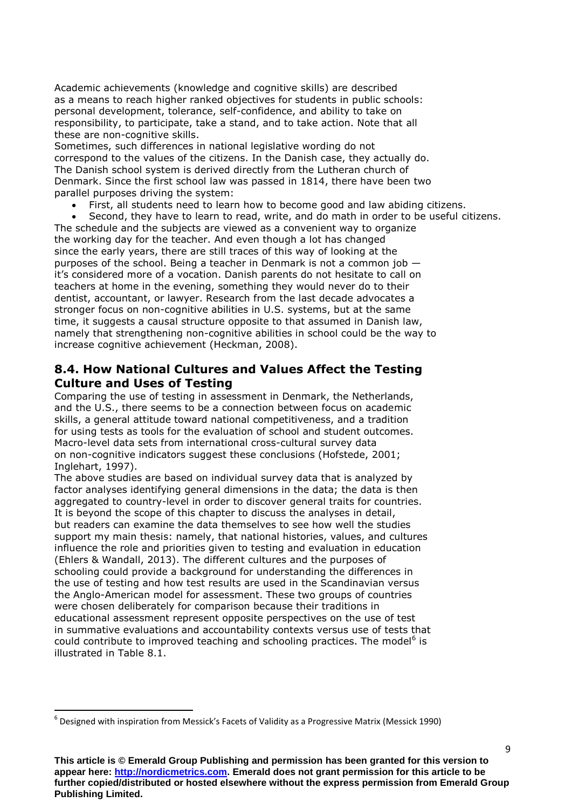Academic achievements (knowledge and cognitive skills) are described as a means to reach higher ranked objectives for students in public schools: personal development, tolerance, self-confidence, and ability to take on responsibility, to participate, take a stand, and to take action. Note that all these are non-cognitive skills.

Sometimes, such differences in national legislative wording do not correspond to the values of the citizens. In the Danish case, they actually do. The Danish school system is derived directly from the Lutheran church of Denmark. Since the first school law was passed in 1814, there have been two parallel purposes driving the system:

First, all students need to learn how to become good and law abiding citizens.

Second, they have to learn to read, write, and do math in order to be useful citizens.

The schedule and the subjects are viewed as a convenient way to organize the working day for the teacher. And even though a lot has changed since the early years, there are still traces of this way of looking at the purposes of the school. Being a teacher in Denmark is not a common job it's considered more of a vocation. Danish parents do not hesitate to call on teachers at home in the evening, something they would never do to their dentist, accountant, or lawyer. Research from the last decade advocates a stronger focus on non-cognitive abilities in U.S. systems, but at the same time, it suggests a causal structure opposite to that assumed in Danish law, namely that strengthening non-cognitive abilities in school could be the way to increase cognitive achievement (Heckman, 2008).

## **8.4. How National Cultures and Values Affect the Testing Culture and Uses of Testing**

Comparing the use of testing in assessment in Denmark, the Netherlands, and the U.S., there seems to be a connection between focus on academic skills, a general attitude toward national competitiveness, and a tradition for using tests as tools for the evaluation of school and student outcomes. Macro-level data sets from international cross-cultural survey data on non-cognitive indicators suggest these conclusions (Hofstede, 2001; Inglehart, 1997).

The above studies are based on individual survey data that is analyzed by factor analyses identifying general dimensions in the data; the data is then aggregated to country-level in order to discover general traits for countries. It is beyond the scope of this chapter to discuss the analyses in detail, but readers can examine the data themselves to see how well the studies support my main thesis: namely, that national histories, values, and cultures influence the role and priorities given to testing and evaluation in education (Ehlers & Wandall, 2013). The different cultures and the purposes of schooling could provide a background for understanding the differences in the use of testing and how test results are used in the Scandinavian versus the Anglo-American model for assessment. These two groups of countries were chosen deliberately for comparison because their traditions in educational assessment represent opposite perspectives on the use of test in summative evaluations and accountability contexts versus use of tests that could contribute to improved teaching and schooling practices. The model<sup>6</sup> is illustrated in Table 8.1.

**.** 

<sup>6</sup> Designed with inspiration from Messick's Facets of Validity as a Progressive Matrix (Messick 1990)

**This article is © Emerald Group Publishing and permission has been granted for this version to appear here: http://nordicmetrics.com. Emerald does not grant permission for this article to be further copied/distributed or hosted elsewhere without the express permission from Emerald Group Publishing Limited.**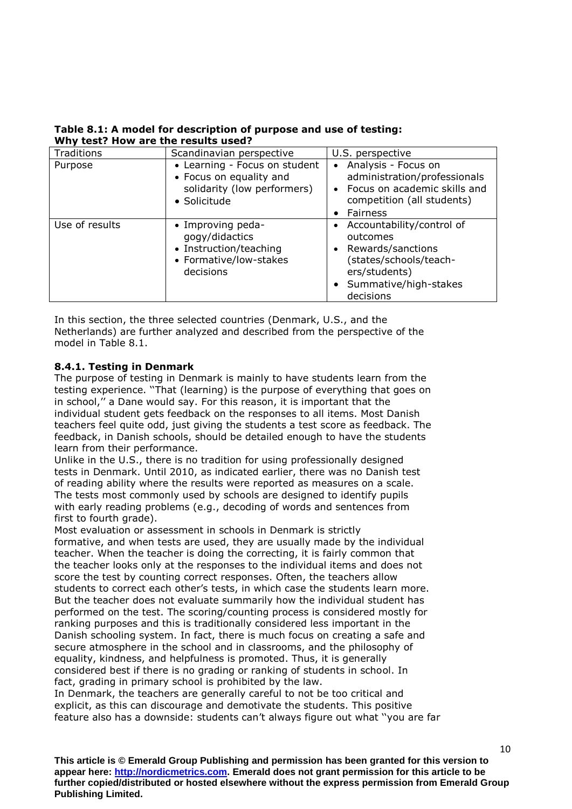| Traditions     | Scandinavian perspective                                                                                | U.S. perspective                                                                                                                                |
|----------------|---------------------------------------------------------------------------------------------------------|-------------------------------------------------------------------------------------------------------------------------------------------------|
| Purpose        | • Learning - Focus on student<br>• Focus on equality and<br>solidarity (low performers)<br>• Solicitude | • Analysis - Focus on<br>administration/professionals<br>• Focus on academic skills and<br>competition (all students)<br>Fairness               |
| Use of results | • Improving peda-<br>gogy/didactics<br>• Instruction/teaching<br>• Formative/low-stakes<br>decisions    | • Accountability/control of<br>outcomes<br>• Rewards/sanctions<br>(states/schools/teach-<br>ers/students)<br>Summative/high-stakes<br>decisions |

**Table 8.1: A model for description of purpose and use of testing: Why test? How are the results used?**

In this section, the three selected countries (Denmark, U.S., and the Netherlands) are further analyzed and described from the perspective of the model in Table 8.1.

### **8.4.1. Testing in Denmark**

The purpose of testing in Denmark is mainly to have students learn from the testing experience. ''That (learning) is the purpose of everything that goes on in school,'' a Dane would say. For this reason, it is important that the individual student gets feedback on the responses to all items. Most Danish teachers feel quite odd, just giving the students a test score as feedback. The feedback, in Danish schools, should be detailed enough to have the students learn from their performance.

Unlike in the U.S., there is no tradition for using professionally designed tests in Denmark. Until 2010, as indicated earlier, there was no Danish test of reading ability where the results were reported as measures on a scale. The tests most commonly used by schools are designed to identify pupils with early reading problems (e.g., decoding of words and sentences from first to fourth grade).

Most evaluation or assessment in schools in Denmark is strictly formative, and when tests are used, they are usually made by the individual teacher. When the teacher is doing the correcting, it is fairly common that the teacher looks only at the responses to the individual items and does not score the test by counting correct responses. Often, the teachers allow students to correct each other's tests, in which case the students learn more. But the teacher does not evaluate summarily how the individual student has performed on the test. The scoring/counting process is considered mostly for ranking purposes and this is traditionally considered less important in the Danish schooling system. In fact, there is much focus on creating a safe and secure atmosphere in the school and in classrooms, and the philosophy of equality, kindness, and helpfulness is promoted. Thus, it is generally considered best if there is no grading or ranking of students in school. In fact, grading in primary school is prohibited by the law.

In Denmark, the teachers are generally careful to not be too critical and explicit, as this can discourage and demotivate the students. This positive feature also has a downside: students can't always figure out what ''you are far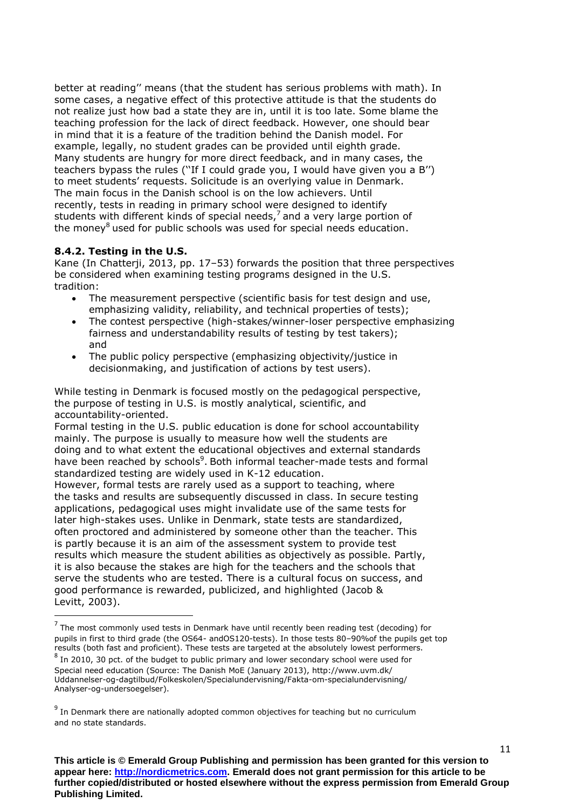better at reading'' means (that the student has serious problems with math). In some cases, a negative effect of this protective attitude is that the students do not realize just how bad a state they are in, until it is too late. Some blame the teaching profession for the lack of direct feedback. However, one should bear in mind that it is a feature of the tradition behind the Danish model. For example, legally, no student grades can be provided until eighth grade. Many students are hungry for more direct feedback, and in many cases, the teachers bypass the rules (''If I could grade you, I would have given you a B'') to meet students' requests. Solicitude is an overlying value in Denmark. The main focus in the Danish school is on the low achievers. Until recently, tests in reading in primary school were designed to identify students with different kinds of special needs,<sup>7</sup> and a very large portion of the money<sup>8</sup> used for public schools was used for special needs education.

### **8.4.2. Testing in the U.S.**

**.** 

Kane (In Chatterji, 2013, pp. 17–53) forwards the position that three perspectives be considered when examining testing programs designed in the U.S. tradition:

- The measurement perspective (scientific basis for test design and use, emphasizing validity, reliability, and technical properties of tests);
- The contest perspective (high-stakes/winner-loser perspective emphasizing fairness and understandability results of testing by test takers); and
- The public policy perspective (emphasizing objectivity/justice in decisionmaking, and justification of actions by test users).

While testing in Denmark is focused mostly on the pedagogical perspective, the purpose of testing in U.S. is mostly analytical, scientific, and accountability-oriented.

Formal testing in the U.S. public education is done for school accountability mainly. The purpose is usually to measure how well the students are doing and to what extent the educational objectives and external standards have been reached by schools<sup>9</sup>. Both informal teacher-made tests and formal standardized testing are widely used in K-12 education.

However, formal tests are rarely used as a support to teaching, where the tasks and results are subsequently discussed in class. In secure testing applications, pedagogical uses might invalidate use of the same tests for later high-stakes uses. Unlike in Denmark, state tests are standardized, often proctored and administered by someone other than the teacher. This is partly because it is an aim of the assessment system to provide test results which measure the student abilities as objectively as possible. Partly, it is also because the stakes are high for the teachers and the schools that serve the students who are tested. There is a cultural focus on success, and good performance is rewarded, publicized, and highlighted (Jacob & Levitt, 2003).

 $<sup>7</sup>$  The most commonly used tests in Denmark have until recently been reading test (decoding) for</sup> pupils in first to third grade (the OS64- andOS120-tests). In those tests 80–90%of the pupils get top results (both fast and proficient). These tests are targeted at the absolutely lowest performers.  $8$  In 2010, 30 pct. of the budget to public primary and lower secondary school were used for Special need education (Source: The Danish MoE (January 2013), http://www.uvm.dk/ Uddannelser-og-dagtilbud/Folkeskolen/Specialundervisning/Fakta-om-specialundervisning/ Analyser-og-undersoegelser).

 $9$  In Denmark there are nationally adopted common objectives for teaching but no curriculum and no state standards.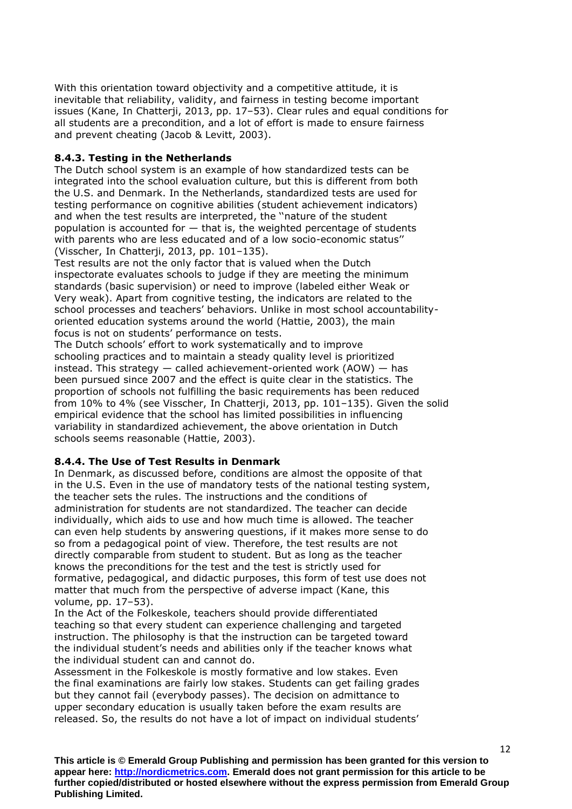With this orientation toward objectivity and a competitive attitude, it is inevitable that reliability, validity, and fairness in testing become important issues (Kane, In Chatterji, 2013, pp. 17–53). Clear rules and equal conditions for all students are a precondition, and a lot of effort is made to ensure fairness and prevent cheating (Jacob & Levitt, 2003).

#### **8.4.3. Testing in the Netherlands**

The Dutch school system is an example of how standardized tests can be integrated into the school evaluation culture, but this is different from both the U.S. and Denmark. In the Netherlands, standardized tests are used for testing performance on cognitive abilities (student achievement indicators) and when the test results are interpreted, the ''nature of the student population is accounted for — that is, the weighted percentage of students with parents who are less educated and of a low socio-economic status'' (Visscher, In Chatterji, 2013, pp. 101–135).

Test results are not the only factor that is valued when the Dutch inspectorate evaluates schools to judge if they are meeting the minimum standards (basic supervision) or need to improve (labeled either Weak or Very weak). Apart from cognitive testing, the indicators are related to the school processes and teachers' behaviors. Unlike in most school accountabilityoriented education systems around the world (Hattie, 2003), the main focus is not on students' performance on tests.

The Dutch schools' effort to work systematically and to improve schooling practices and to maintain a steady quality level is prioritized instead. This strategy  $-$  called achievement-oriented work (AOW)  $-$  has been pursued since 2007 and the effect is quite clear in the statistics. The proportion of schools not fulfilling the basic requirements has been reduced from 10% to 4% (see Visscher, In Chatterji, 2013, pp. 101–135). Given the solid empirical evidence that the school has limited possibilities in influencing variability in standardized achievement, the above orientation in Dutch schools seems reasonable (Hattie, 2003).

### **8.4.4. The Use of Test Results in Denmark**

In Denmark, as discussed before, conditions are almost the opposite of that in the U.S. Even in the use of mandatory tests of the national testing system, the teacher sets the rules. The instructions and the conditions of administration for students are not standardized. The teacher can decide individually, which aids to use and how much time is allowed. The teacher can even help students by answering questions, if it makes more sense to do so from a pedagogical point of view. Therefore, the test results are not directly comparable from student to student. But as long as the teacher knows the preconditions for the test and the test is strictly used for formative, pedagogical, and didactic purposes, this form of test use does not matter that much from the perspective of adverse impact (Kane, this volume, pp. 17–53).

In the Act of the Folkeskole, teachers should provide differentiated teaching so that every student can experience challenging and targeted instruction. The philosophy is that the instruction can be targeted toward the individual student's needs and abilities only if the teacher knows what the individual student can and cannot do.

Assessment in the Folkeskole is mostly formative and low stakes. Even the final examinations are fairly low stakes. Students can get failing grades but they cannot fail (everybody passes). The decision on admittance to upper secondary education is usually taken before the exam results are released. So, the results do not have a lot of impact on individual students'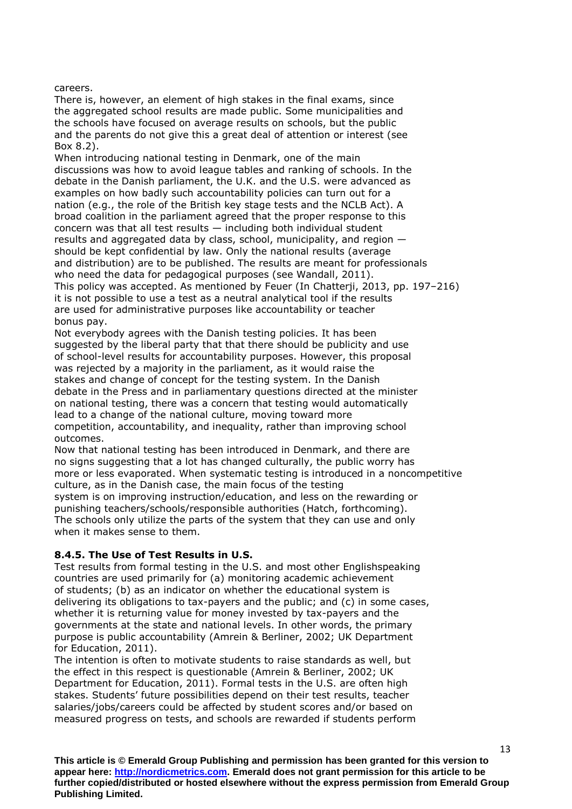careers.

There is, however, an element of high stakes in the final exams, since the aggregated school results are made public. Some municipalities and the schools have focused on average results on schools, but the public and the parents do not give this a great deal of attention or interest (see Box 8.2).

When introducing national testing in Denmark, one of the main discussions was how to avoid league tables and ranking of schools. In the debate in the Danish parliament, the U.K. and the U.S. were advanced as examples on how badly such accountability policies can turn out for a nation (e.g., the role of the British key stage tests and the NCLB Act). A broad coalition in the parliament agreed that the proper response to this concern was that all test results — including both individual student results and aggregated data by class, school, municipality, and region should be kept confidential by law. Only the national results (average and distribution) are to be published. The results are meant for professionals who need the data for pedagogical purposes (see Wandall, 2011). This policy was accepted. As mentioned by Feuer (In Chatterji, 2013, pp. 197–216) it is not possible to use a test as a neutral analytical tool if the results are used for administrative purposes like accountability or teacher bonus pay.

Not everybody agrees with the Danish testing policies. It has been suggested by the liberal party that that there should be publicity and use of school-level results for accountability purposes. However, this proposal was rejected by a majority in the parliament, as it would raise the stakes and change of concept for the testing system. In the Danish debate in the Press and in parliamentary questions directed at the minister on national testing, there was a concern that testing would automatically lead to a change of the national culture, moving toward more competition, accountability, and inequality, rather than improving school outcomes.

Now that national testing has been introduced in Denmark, and there are no signs suggesting that a lot has changed culturally, the public worry has more or less evaporated. When systematic testing is introduced in a noncompetitive culture, as in the Danish case, the main focus of the testing system is on improving instruction/education, and less on the rewarding or punishing teachers/schools/responsible authorities (Hatch, forthcoming). The schools only utilize the parts of the system that they can use and only when it makes sense to them.

### **8.4.5. The Use of Test Results in U.S.**

Test results from formal testing in the U.S. and most other Englishspeaking countries are used primarily for (a) monitoring academic achievement of students; (b) as an indicator on whether the educational system is delivering its obligations to tax-payers and the public; and (c) in some cases, whether it is returning value for money invested by tax-payers and the governments at the state and national levels. In other words, the primary purpose is public accountability (Amrein & Berliner, 2002; UK Department for Education, 2011).

The intention is often to motivate students to raise standards as well, but the effect in this respect is questionable (Amrein & Berliner, 2002; UK Department for Education, 2011). Formal tests in the U.S. are often high stakes. Students' future possibilities depend on their test results, teacher salaries/jobs/careers could be affected by student scores and/or based on measured progress on tests, and schools are rewarded if students perform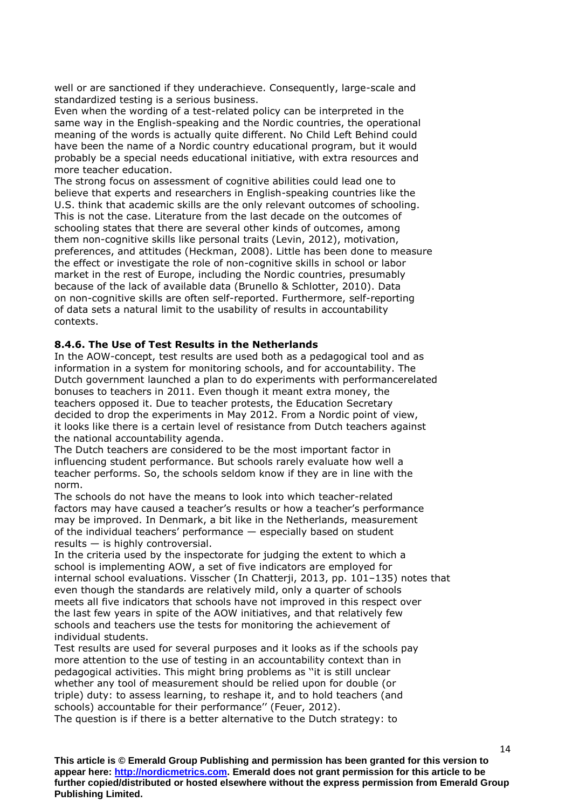well or are sanctioned if they underachieve. Consequently, large-scale and standardized testing is a serious business.

Even when the wording of a test-related policy can be interpreted in the same way in the English-speaking and the Nordic countries, the operational meaning of the words is actually quite different. No Child Left Behind could have been the name of a Nordic country educational program, but it would probably be a special needs educational initiative, with extra resources and more teacher education.

The strong focus on assessment of cognitive abilities could lead one to believe that experts and researchers in English-speaking countries like the U.S. think that academic skills are the only relevant outcomes of schooling. This is not the case. Literature from the last decade on the outcomes of schooling states that there are several other kinds of outcomes, among them non-cognitive skills like personal traits (Levin, 2012), motivation, preferences, and attitudes (Heckman, 2008). Little has been done to measure the effect or investigate the role of non-cognitive skills in school or labor market in the rest of Europe, including the Nordic countries, presumably because of the lack of available data (Brunello & Schlotter, 2010). Data on non-cognitive skills are often self-reported. Furthermore, self-reporting of data sets a natural limit to the usability of results in accountability contexts.

#### **8.4.6. The Use of Test Results in the Netherlands**

In the AOW-concept, test results are used both as a pedagogical tool and as information in a system for monitoring schools, and for accountability. The Dutch government launched a plan to do experiments with performancerelated bonuses to teachers in 2011. Even though it meant extra money, the teachers opposed it. Due to teacher protests, the Education Secretary decided to drop the experiments in May 2012. From a Nordic point of view, it looks like there is a certain level of resistance from Dutch teachers against the national accountability agenda.

The Dutch teachers are considered to be the most important factor in influencing student performance. But schools rarely evaluate how well a teacher performs. So, the schools seldom know if they are in line with the norm.

The schools do not have the means to look into which teacher-related factors may have caused a teacher's results or how a teacher's performance may be improved. In Denmark, a bit like in the Netherlands, measurement of the individual teachers' performance — especially based on student results — is highly controversial.

In the criteria used by the inspectorate for judging the extent to which a school is implementing AOW, a set of five indicators are employed for internal school evaluations. Visscher (In Chatterji, 2013, pp. 101–135) notes that even though the standards are relatively mild, only a quarter of schools meets all five indicators that schools have not improved in this respect over the last few years in spite of the AOW initiatives, and that relatively few schools and teachers use the tests for monitoring the achievement of individual students.

Test results are used for several purposes and it looks as if the schools pay more attention to the use of testing in an accountability context than in pedagogical activities. This might bring problems as ''it is still unclear whether any tool of measurement should be relied upon for double (or triple) duty: to assess learning, to reshape it, and to hold teachers (and schools) accountable for their performance'' (Feuer, 2012). The question is if there is a better alternative to the Dutch strategy: to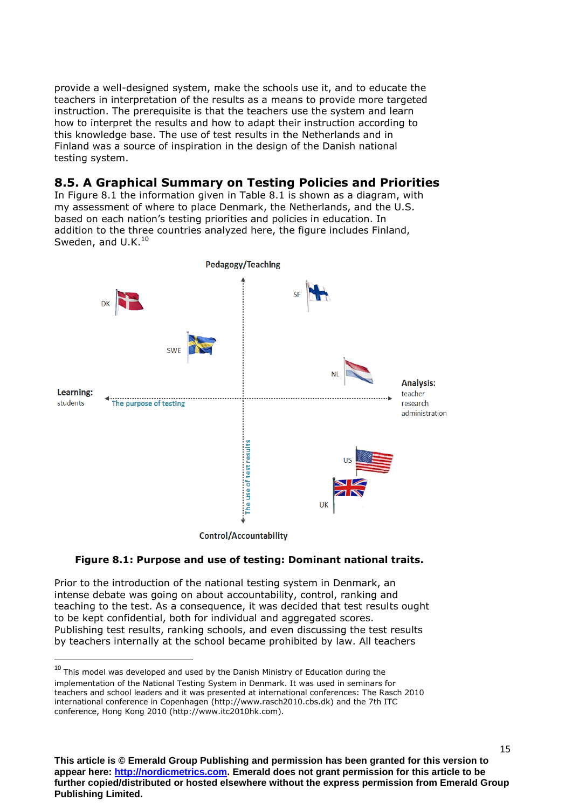provide a well-designed system, make the schools use it, and to educate the teachers in interpretation of the results as a means to provide more targeted instruction. The prerequisite is that the teachers use the system and learn how to interpret the results and how to adapt their instruction according to this knowledge base. The use of test results in the Netherlands and in Finland was a source of inspiration in the design of the Danish national testing system.

## **8.5. A Graphical Summary on Testing Policies and Priorities**

In Figure 8.1 the information given in Table 8.1 is shown as a diagram, with my assessment of where to place Denmark, the Netherlands, and the U.S. based on each nation's testing priorities and policies in education. In addition to the three countries analyzed here, the figure includes Finland, Sweden, and U.K.<sup>10</sup>



**Figure 8.1: Purpose and use of testing: Dominant national traits.**

Prior to the introduction of the national testing system in Denmark, an intense debate was going on about accountability, control, ranking and teaching to the test. As a consequence, it was decided that test results ought to be kept confidential, both for individual and aggregated scores. Publishing test results, ranking schools, and even discussing the test results by teachers internally at the school became prohibited by law. All teachers

1

 $10$  This model was developed and used by the Danish Ministry of Education during the implementation of the National Testing System in Denmark. It was used in seminars for teachers and school leaders and it was presented at international conferences: The Rasch 2010 international conference in Copenhagen (http://www.rasch2010.cbs.dk) and the 7th ITC conference, Hong Kong 2010 (http://www.itc2010hk.com).

**This article is © Emerald Group Publishing and permission has been granted for this version to appear here: http://nordicmetrics.com. Emerald does not grant permission for this article to be further copied/distributed or hosted elsewhere without the express permission from Emerald Group Publishing Limited.**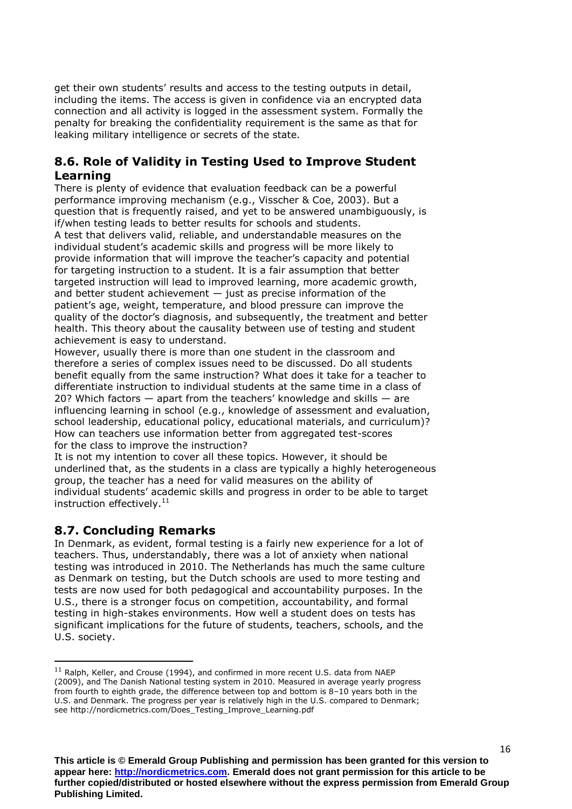get their own students' results and access to the testing outputs in detail, including the items. The access is given in confidence via an encrypted data connection and all activity is logged in the assessment system. Formally the penalty for breaking the confidentiality requirement is the same as that for leaking military intelligence or secrets of the state.

## **8.6. Role of Validity in Testing Used to Improve Student Learning**

There is plenty of evidence that evaluation feedback can be a powerful performance improving mechanism (e.g., Visscher & Coe, 2003). But a question that is frequently raised, and yet to be answered unambiguously, is if/when testing leads to better results for schools and students. A test that delivers valid, reliable, and understandable measures on the individual student's academic skills and progress will be more likely to provide information that will improve the teacher's capacity and potential for targeting instruction to a student. It is a fair assumption that better targeted instruction will lead to improved learning, more academic growth, and better student achievement  $-$  just as precise information of the patient's age, weight, temperature, and blood pressure can improve the quality of the doctor's diagnosis, and subsequently, the treatment and better health. This theory about the causality between use of testing and student achievement is easy to understand.

However, usually there is more than one student in the classroom and therefore a series of complex issues need to be discussed. Do all students benefit equally from the same instruction? What does it take for a teacher to differentiate instruction to individual students at the same time in a class of 20? Which factors — apart from the teachers' knowledge and skills — are influencing learning in school (e.g., knowledge of assessment and evaluation, school leadership, educational policy, educational materials, and curriculum)? How can teachers use information better from aggregated test-scores for the class to improve the instruction?

It is not my intention to cover all these topics. However, it should be underlined that, as the students in a class are typically a highly heterogeneous group, the teacher has a need for valid measures on the ability of individual students' academic skills and progress in order to be able to target instruction effectively. $11$ 

# **8.7. Concluding Remarks**

**.** 

In Denmark, as evident, formal testing is a fairly new experience for a lot of teachers. Thus, understandably, there was a lot of anxiety when national testing was introduced in 2010. The Netherlands has much the same culture as Denmark on testing, but the Dutch schools are used to more testing and tests are now used for both pedagogical and accountability purposes. In the U.S., there is a stronger focus on competition, accountability, and formal testing in high-stakes environments. How well a student does on tests has significant implications for the future of students, teachers, schools, and the U.S. society.

 $11$  Ralph, Keller, and Crouse (1994), and confirmed in more recent U.S. data from NAEP (2009), and The Danish National testing system in 2010. Measured in average yearly progress from fourth to eighth grade, the difference between top and bottom is 8–10 years both in the U.S. and Denmark. The progress per year is relatively high in the U.S. compared to Denmark; see http://nordicmetrics.com/Does\_Testing\_Improve\_Learning.pdf

**This article is © Emerald Group Publishing and permission has been granted for this version to appear here: http://nordicmetrics.com. Emerald does not grant permission for this article to be further copied/distributed or hosted elsewhere without the express permission from Emerald Group Publishing Limited.**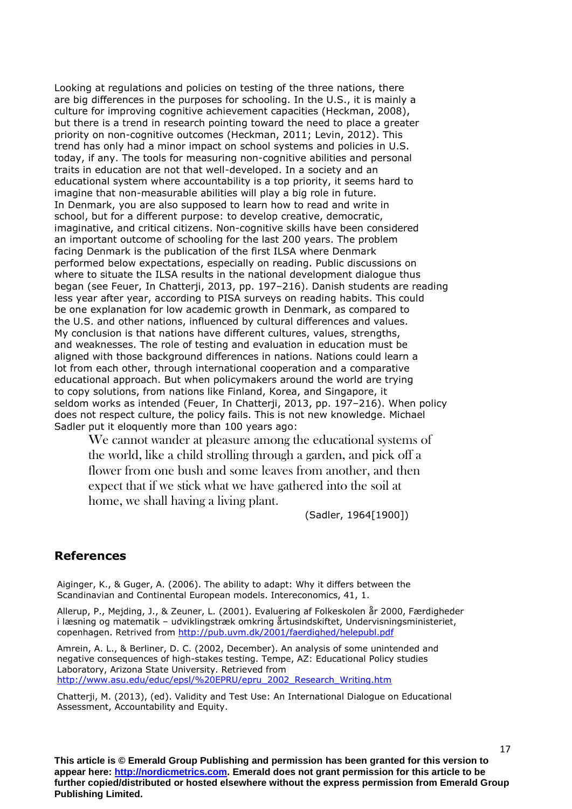Looking at regulations and policies on testing of the three nations, there are big differences in the purposes for schooling. In the U.S., it is mainly a culture for improving cognitive achievement capacities (Heckman, 2008), but there is a trend in research pointing toward the need to place a greater priority on non-cognitive outcomes (Heckman, 2011; Levin, 2012). This trend has only had a minor impact on school systems and policies in U.S. today, if any. The tools for measuring non-cognitive abilities and personal traits in education are not that well-developed. In a society and an educational system where accountability is a top priority, it seems hard to imagine that non-measurable abilities will play a big role in future. In Denmark, you are also supposed to learn how to read and write in school, but for a different purpose: to develop creative, democratic, imaginative, and critical citizens. Non-cognitive skills have been considered an important outcome of schooling for the last 200 years. The problem facing Denmark is the publication of the first ILSA where Denmark performed below expectations, especially on reading. Public discussions on where to situate the ILSA results in the national development dialogue thus began (see Feuer, In Chatterji, 2013, pp. 197–216). Danish students are reading less year after year, according to PISA surveys on reading habits. This could be one explanation for low academic growth in Denmark, as compared to the U.S. and other nations, influenced by cultural differences and values. My conclusion is that nations have different cultures, values, strengths, and weaknesses. The role of testing and evaluation in education must be aligned with those background differences in nations. Nations could learn a lot from each other, through international cooperation and a comparative educational approach. But when policymakers around the world are trying to copy solutions, from nations like Finland, Korea, and Singapore, it seldom works as intended (Feuer, In Chatterji, 2013, pp. 197–216). When policy does not respect culture, the policy fails. This is not new knowledge. Michael Sadler put it eloquently more than 100 years ago:

We cannot wander at pleasure among the educational systems of the world, like a child strolling through a garden, and pick off a flower from one bush and some leaves from another, and then expect that if we stick what we have gathered into the soil at home, we shall having a living plant.

(Sadler, 1964[1900])

## **References**

Aiginger, K., & Guger, A. (2006). The ability to adapt: Why it differs between the Scandinavian and Continental European models. Intereconomics, 41, 1.

Allerup, P., Mejding, J., & Zeuner, L. (2001). Evaluering af Folkeskolen år 2000, Færdigheder i læsning og matematik – udviklingstræk omkring årtusindskiftet, Undervisningsministeriet, copenhagen. Retrived from<http://pub.uvm.dk/2001/faerdighed/helepubl.pdf>

Amrein, A. L., & Berliner, D. C. (2002, December). An analysis of some unintended and negative consequences of high-stakes testing. Tempe, AZ: Educational Policy studies Laboratory, Arizona State University. Retrieved from [http://www.asu.edu/educ/epsl/%20EPRU/epru\\_2002\\_Research\\_Writing.htm](http://www.asu.edu/educ/epsl/%20EPRU/epru_2002_Research_Writing.htm)

Chatterji, M. (2013), (ed). Validity and Test Use: An International Dialogue on Educational Assessment, Accountability and Equity.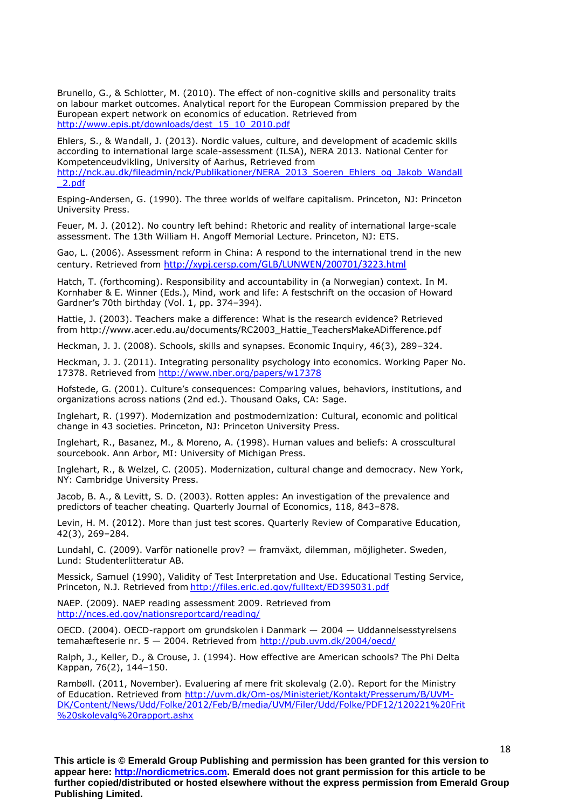Brunello, G., & Schlotter, M. (2010). The effect of non-cognitive skills and personality traits on labour market outcomes. Analytical report for the European Commission prepared by the European expert network on economics of education. Retrieved from [http://www.epis.pt/downloads/dest\\_15\\_10\\_2010.pdf](http://www.epis.pt/downloads/dest_15_10_2010.pdf)

Ehlers, S., & Wandall, J. (2013). Nordic values, culture, and development of academic skills according to international large scale-assessment (ILSA), NERA 2013. National Center for Kompetenceudvikling, University of Aarhus, Retrieved from [http://nck.au.dk/fileadmin/nck/Publikationer/NERA\\_2013\\_Soeren\\_Ehlers\\_og\\_Jakob\\_Wandall](http://nck.au.dk/fileadmin/nck/Publikationer/NERA_2013_Soeren_Ehlers_og_Jakob_Wandall_2.pdf) [\\_2.pdf](http://nck.au.dk/fileadmin/nck/Publikationer/NERA_2013_Soeren_Ehlers_og_Jakob_Wandall_2.pdf)

Esping-Andersen, G. (1990). The three worlds of welfare capitalism. Princeton, NJ: Princeton University Press.

Feuer, M. J. (2012). No country left behind: Rhetoric and reality of international large-scale assessment. The 13th William H. Angoff Memorial Lecture. Princeton, NJ: ETS.

[Gao, L. \(2006\). Assessment reform in China: A respond to the international trend in the new](http://xypj.cersp.com/GLB/LUNWEN/200701/3223.html)  century. Retrieved from <http://xypj.cersp.com/GLB/LUNWEN/200701/3223.html>

Hatch, T. (forthcoming). Responsibility and accountability in (a Norwegian) context. In M. Kornhaber & E. Winner (Eds.), Mind, work and life: A festschrift on the occasion of Howard Gardner's 70th birthday (Vol. 1, pp. 374–394).

Hattie, J. (2003). Teachers make a difference: What is the research evidence? Retrieved from http://www.acer.edu.au/documents/RC2003\_Hattie\_TeachersMakeADifference.pdf

Heckman, J. J. (2008). Schools, skills and synapses. Economic Inquiry, 46(3), 289–324.

Heckman, J. J. (2011). Integrating personality psychology into economics. Working Paper No. 17378. Retrieved from<http://www.nber.org/papers/w17378>

Hofstede, G. (2001). Culture's consequences: Comparing values, behaviors, institutions, and organizations across nations (2nd ed.). Thousand Oaks, CA: Sage.

Inglehart, R. (1997). Modernization and postmodernization: Cultural, economic and political change in 43 societies. Princeton, NJ: Princeton University Press.

Inglehart, R., Basanez, M., & Moreno, A. (1998). Human values and beliefs: A crosscultural sourcebook. Ann Arbor, MI: University of Michigan Press.

Inglehart, R., & Welzel, C. (2005). Modernization, cultural change and democracy. New York, NY: Cambridge University Press.

Jacob, B. A., & Levitt, S. D. (2003). Rotten apples: An investigation of the prevalence and predictors of teacher cheating. Quarterly Journal of Economics, 118, 843–878.

Levin, H. M. (2012). More than just test scores. Quarterly Review of Comparative Education, 42(3), 269–284.

Lundahl, C. (2009). Varför nationelle prov? — framväxt, dilemman, möjligheter. Sweden, Lund: Studenterlitteratur AB.

Messick, Samuel (1990), Validity of Test Interpretation and Use. Educational Testing Service, Princeton, N.J. Retrieved from <http://files.eric.ed.gov/fulltext/ED395031.pdf>

NAEP. (2009). NAEP reading assessment 2009. Retrieved from <http://nces.ed.gov/nationsreportcard/reading/>

OECD. (2004). OECD-rapport om grundskolen i Danmark — 2004 — Uddannelsesstyrelsens temahæfteserie nr. 5 - 2004. Retrieved from<http://pub.uvm.dk/2004/oecd/>

Ralph, J., Keller, D., & Crouse, J. (1994). How effective are American schools? The Phi Delta Kappan, 76(2), 144–150.

Rambøll. (2011, November). Evaluering af mere frit skolevalg (2.0). Report for the Ministry of Education. Retrieved from [http://uvm.dk/Om-os/Ministeriet/Kontakt/Presserum/B/UVM-](http://uvm.dk/Om-os/Ministeriet/Kontakt/Presserum/B/UVM-DK/Content/News/Udd/Folke/2012/Feb/B/media/UVM/Filer/Udd/Folke/PDF12/120221%20Frit%20skolevalg%20rapport.ashx)[DK/Content/News/Udd/Folke/2012/Feb/B/media/UVM/Filer/Udd/Folke/PDF12/120221%20Frit](http://uvm.dk/Om-os/Ministeriet/Kontakt/Presserum/B/UVM-DK/Content/News/Udd/Folke/2012/Feb/B/media/UVM/Filer/Udd/Folke/PDF12/120221%20Frit%20skolevalg%20rapport.ashx) [%20skolevalg%20rapport.ashx](http://uvm.dk/Om-os/Ministeriet/Kontakt/Presserum/B/UVM-DK/Content/News/Udd/Folke/2012/Feb/B/media/UVM/Filer/Udd/Folke/PDF12/120221%20Frit%20skolevalg%20rapport.ashx)